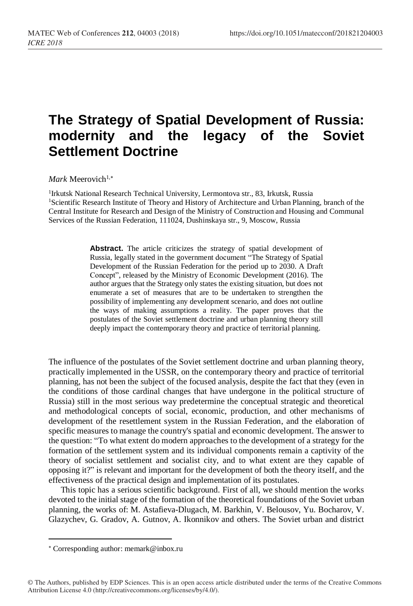## **The Strategy of Spatial Development of Russia: modernity and the legacy of the Soviet Settlement Doctrine**

*Mark* Meerovich<sup>1,\*</sup>

<sup>1</sup>Irkutsk National Research Technical University, Lermontova str., 83, Irkutsk, Russia <sup>1</sup>Scientific Research Institute of Theory and History of Architecture and Urban Planning, branch of the Central Institute for Research and Design of the Ministry of Construction and Housing and Communal Services of the Russian Federation, 111024, Dushinskaya str., 9, Moscow, Russia

> Abstract. The article criticizes the strategy of spatial development of Russia, legally stated in the government document "The Strategy of Spatial Development of the Russian Federation for the period up to 2030. A Draft Concept", released by the Ministry of Economic Development (2016). The author argues that the Strategy only states the existing situation, but does not enumerate a set of measures that are to be undertaken to strengthen the possibility of implementing any development scenario, and does not outline the ways of making assumptions a reality. The paper proves that the postulates of the Soviet settlement doctrine and urban planning theory still deeply impact the contemporary theory and practice of territorial planning.

The influence of the postulates of the Soviet settlement doctrine and urban planning theory, practically implemented in the USSR, on the contemporary theory and practice of territorial planning, has not been the subject of the focused analysis, despite the fact that they (even in the conditions of those cardinal changes that have undergone in the political structure of Russia) still in the most serious way predetermine the conceptual strategic and theoretical and methodological concepts of social, economic, production, and other mechanisms of development of the resettlement system in the Russian Federation, and the elaboration of specific measures to manage the country's spatial and economic development. The answer to the question: "To what extent do modern approaches to the development of a strategy for the formation of the settlement system and its individual components remain a captivity of the theory of socialist settlement and socialist city, and to what extent are they capable of opposing it?" is relevant and important for the development of both the theory itself, and the effectiveness of the practical design and implementation of its postulates.

This topic has a serious scientific background. First of all, we should mention the works devoted to the initial stage of the formation of the theoretical foundations of the Soviet urban planning, the works of: M. Astafieva-Dlugach, M. Barkhin, V. Belousov, Yu. Bocharov, V. Glazychev, G. Gradov, A. Gutnov, A. Ikonnikov and others. The Soviet urban and district

l

Corresponding author: memark@inbox.ru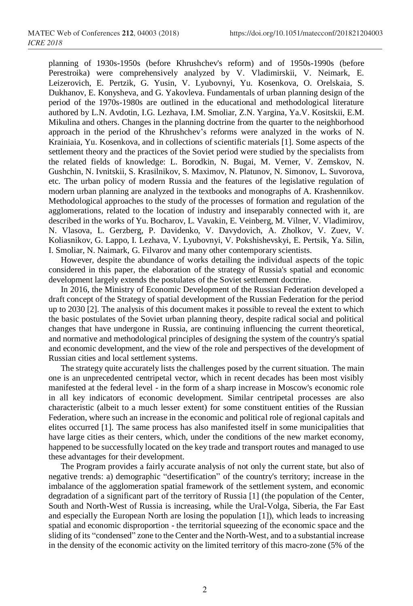planning of 1930s-1950s (before Khrushchev's reform) and of 1950s-1990s (before Perestroika) were comprehensively analyzed by V. Vladimirskii, V. Neimark, E. Leizerovich, E. Pertzik, G. Yusin, V. Lyubovnyi, Yu. Kosenkova, O. Orelskaia, S. Dukhanov, E. Konysheva, and G. Yakovleva. Fundamentals of urban planning design of the period of the 1970s-1980s are outlined in the educational and methodological literature authored by L.N. Avdotin, I.G. Lezhava, I.M. Smoliar, Z.N. Yargina, Ya.V. Kositskii, E.M. Mikulina and others. Changes in the planning doctrine from the quarter to the neighborhood approach in the period of the Khrushchev's reforms were analyzed in the works of N. Krainiaia, Yu. Kosenkova, and in collections of scientific materials [1]. Some aspects of the settlement theory and the practices of the Soviet period were studied by the specialists from the related fields of knowledge: L. Borodkin, N. Bugai, M. Verner, V. Zemskov, N. Gushchin, N. Ivnitskii, S. Krasilnikov, S. Maximov, N. Platunov, N. Simonov, L. Suvorova, etc. The urban policy of modern Russia and the features of the legislative regulation of modern urban planning are analyzed in the textbooks and monographs of A. Krashennikov. Methodological approaches to the study of the processes of formation and regulation of the agglomerations, related to the location of industry and inseparably connected with it, are described in the works of Yu. Bocharov, L. Vavakin, E. Veinberg, M. Vilner, V. Vladimirov, N. Vlasova, L. Gerzberg, P. Davidenko, V. Davydovich, A. Zholkov, V. Zuev, V. Koliasnikov, G. Lappo, I. Lezhava, V. Lyubovnyi, V. Pokshishevskyi, E. Pertsik, Ya. Silin, I. Smoliar, N. Naimark, G. Filvarov and many other contemporary scientists.

However, despite the abundance of works detailing the individual aspects of the topic considered in this paper, the elaboration of the strategy of Russia's spatial and economic development largely extends the postulates of the Soviet settlement doctrine.

In 2016, the Ministry of Economic Development of the Russian Federation developed a draft concept of the Strategy of spatial development of the Russian Federation for the period up to 2030 [2]. The analysis of this document makes it possible to reveal the extent to which the basic postulates of the Soviet urban planning theory, despite radical social and political changes that have undergone in Russia, are continuing influencing the current theoretical, and normative and methodological principles of designing the system of the country's spatial and economic development, and the view of the role and perspectives of the development of Russian cities and local settlement systems.

The strategy quite accurately lists the challenges posed by the current situation. The main one is an unprecedented centripetal vector, which in recent decades has been most visibly manifested at the federal level - in the form of a sharp increase in Moscow's economic role in all key indicators of economic development. Similar centripetal processes are also characteristic (albeit to a much lesser extent) for some constituent entities of the Russian Federation, where such an increase in the economic and political role of regional capitals and elites occurred [1]. The same process has also manifested itself in some municipalities that have large cities as their centers, which, under the conditions of the new market economy, happened to be successfully located on the key trade and transport routes and managed to use these advantages for their development.

The Program provides a fairly accurate analysis of not only the current state, but also of negative trends: a) demographic "desertification" of the country's territory; increase in the imbalance of the agglomeration spatial framework of the settlement system, and economic degradation of a significant part of the territory of Russia [1] (the population of the Center, South and North-West of Russia is increasing, while the Ural-Volga, Siberia, the Far East and especially the European North are losing the population [1]), which leads to increasing spatial and economic disproportion - the territorial squeezing of the economic space and the sliding of its "condensed" zone to the Center and the North-West, and to a substantial increase in the density of the economic activity on the limited territory of this macro-zone (5% of the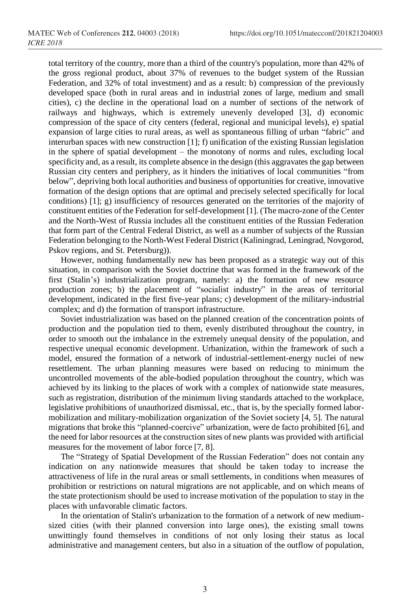total territory of the country, more than a third of the country's population, more than 42% of the gross regional product, about 37% of revenues to the budget system of the Russian Federation, and 32% of total investment) and as a result: b) compression of the previously developed space (both in rural areas and in industrial zones of large, medium and small cities), c) the decline in the operational load on a number of sections of the network of railways and highways, which is extremely unevenly developed [3], d) economic compression of the space of city centers (federal, regional and municipal levels), e) spatial expansion of large cities to rural areas, as well as spontaneous filling of urban "fabric" and interurban spaces with new construction [1]; f) unification of the existing Russian legislation in the sphere of spatial development – the monotony of norms and rules, excluding local specificity and, as a result, its complete absence in the design (this aggravates the gap between Russian city centers and periphery, as it hinders the initiatives of local communities "from below", depriving both local authorities and business of opportunities for creative, innovative formation of the design options that are optimal and precisely selected specifically for local conditions) [1]; g) insufficiency of resources generated on the territories of the majority of constituent entities of the Federation for self-development [1]. (The macro-zone of the Center and the North-West of Russia includes all the constituent entities of the Russian Federation that form part of the Central Federal District, as well as a number of subjects of the Russian Federation belonging to the North-West Federal District (Kaliningrad, Leningrad, Novgorod, Pskov regions, and St. Petersburg)).

However, nothing fundamentally new has been proposed as a strategic way out of this situation, in comparison with the Soviet doctrine that was formed in the framework of the first (Stalin's) industrialization program, namely: a) the formation of new resource production zones; b) the placement of "socialist industry" in the areas of territorial development, indicated in the first five-year plans; c) development of the military-industrial complex; and d) the formation of transport infrastructure.

Soviet industrialization was based on the planned creation of the concentration points of production and the population tied to them, evenly distributed throughout the country, in order to smooth out the imbalance in the extremely unequal density of the population, and respective unequal economic development. Urbanization, within the framework of such a model, ensured the formation of a network of industrial-settlement-energy nuclei of new resettlement. The urban planning measures were based on reducing to minimum the uncontrolled movements of the able-bodied population throughout the country, which was achieved by its linking to the places of work with a complex of nationwide state measures, such as registration, distribution of the minimum living standards attached to the workplace, legislative prohibitions of unauthorized dismissal, etc., that is, by the specially formed labormobilization and military-mobilization organization of the Soviet society [4, 5]. The natural migrations that broke this "planned-coercive" urbanization, were de facto prohibited [6], and the need for labor resources at the construction sites of new plants was provided with artificial measures for the movement of labor force [7, 8].

The "Strategy of Spatial Development of the Russian Federation" does not contain any indication on any nationwide measures that should be taken today to increase the attractiveness of life in the rural areas or small settlements, in conditions when measures of prohibition or restrictions on natural migrations are not applicable, and on which means of the state protectionism should be used to increase motivation of the population to stay in the places with unfavorable climatic factors.

In the orientation of Stalin's urbanization to the formation of a network of new mediumsized cities (with their planned conversion into large ones), the existing small towns unwittingly found themselves in conditions of not only losing their status as local administrative and management centers, but also in a situation of the outflow of population,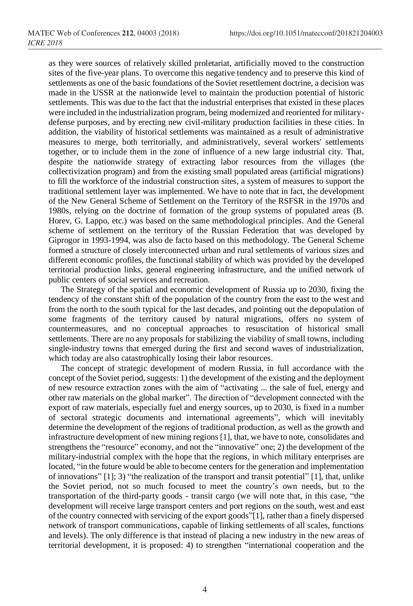as they were sources of relatively skilled proletariat, artificially moved to the construction sites of the five-year plans. To overcome this negative tendency and to preserve this kind of settlements as one of the basic foundations of the Soviet resettlement doctrine, a decision was made in the USSR at the nationwide level to maintain the production potential of historic settlements. This was due to the fact that the industrial enterprises that existed in these places were included in the industrialization program, being modernized and reoriented for militarydefense purposes, and by erecting new civil-military production facilities in these cities. In addition, the viability of historical settlements was maintained as a result of administrative measures to merge, both territorially, and administratively, several workers' settlements together, or to include them in the zone of influence of a new large industrial city. That, despite the nationwide strategy of extracting labor resources from the villages (the collectivization program) and from the existing small populated areas (artificial migrations) to fill the workforce of the industrial construction sites, a system of measures to support the traditional settlement layer was implemented. We have to note that in fact, the development of the New General Scheme of Settlement on the Territory of the RSFSR in the 1970s and 1980s, relying on the doctrine of formation of the group systems of populated areas (B. Horev, G. Lappo, etc.) was based on the same methodological principles. And the General scheme of settlement on the territory of the Russian Federation that was developed by Giprogor in 1993-1994, was also de facto based on this methodology. The General Scheme formed a structure of closely interconnected urban and rural settlements of various sizes and different economic profiles, the functional stability of which was provided by the developed territorial production links, general engineering infrastructure, and the unified network of public centers of social services and recreation.

The Strategy of the spatial and economic development of Russia up to 2030, fixing the tendency of the constant shift of the population of the country from the east to the west and from the north to the south typical for the last decades, and pointing out the depopulation of some fragments of the territory caused by natural migrations, offers no system of countermeasures, and no conceptual approaches to resuscitation of historical small settlements. There are no any proposals for stabilizing the viability of small towns, including single-industry towns that emerged during the first and second waves of industrialization, which today are also catastrophically losing their labor resources.

The concept of strategic development of modern Russia, in full accordance with the concept of the Soviet period, suggests: 1) the development of the existing and the deployment of new resource extraction zones with the aim of "activating ... the sale of fuel, energy and other raw materials on the global market". The direction of "development connected with the export of raw materials, especially fuel and energy sources, up to 2030, is fixed in a number of sectoral strategic documents and international agreements", which will inevitably determine the development of the regions of traditional production, as well as the growth and infrastructure development of new mining regions [1], that, we have to note, consolidates and strengthens the "resource" economy, and not the "innovative" one; 2) the development of the military-industrial complex with the hope that the regions, in which military enterprises are located, "in the future would be able to become centers for the generation and implementation of innovations"  $[1]$ ; 3) "the realization of the transport and transit potential"  $[1]$ , that, unlike the Soviet period, not so much focused to meet the country's own needs, but to the transportation of the third-party goods - transit cargo (we will note that, in this case, "the development will receive large transport centers and port regions on the south, west and east of the country connected with servicing of the export goods"[1], rather than a finely dispersed network of transport communications, capable of linking settlements of all scales, functions and levels). The only difference is that instead of placing a new industry in the new areas of territorial development, it is proposed: 4) to strengthen "international cooperation and the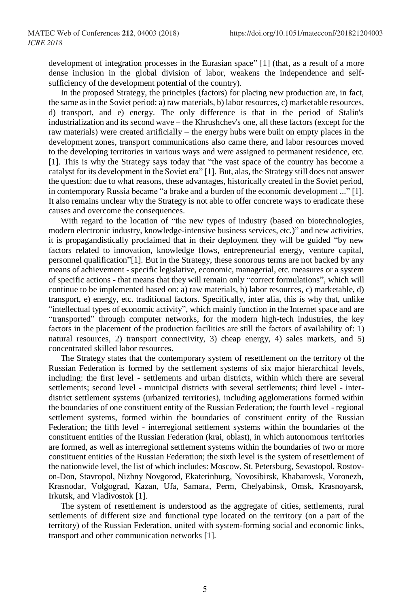development of integration processes in the Eurasian space" [1] (that, as a result of a more dense inclusion in the global division of labor, weakens the independence and selfsufficiency of the development potential of the country).

In the proposed Strategy, the principles (factors) for placing new production are, in fact, the same as in the Soviet period: a) raw materials, b) labor resources, c) marketable resources, d) transport, and e) energy. The only difference is that in the period of Stalin's industrialization and its second wave – the Khrushchev's one, all these factors (except for the raw materials) were created artificially – the energy hubs were built on empty places in the development zones, transport communications also came there, and labor resources moved to the developing territories in various ways and were assigned to permanent residence, etc. [1]. This is why the Strategy says today that "the vast space of the country has become a catalyst for its development in the Soviet era" [1]. But, alas, the Strategy still does not answer the question: due to what reasons, these advantages, historically created in the Soviet period, in contemporary Russia became "a brake and a burden of the economic development ..." [1]. It also remains unclear why the Strategy is not able to offer concrete ways to eradicate these causes and overcome the consequences.

With regard to the location of "the new types of industry (based on biotechnologies, modern electronic industry, knowledge-intensive business services, etc.)" and new activities, it is propagandistically proclaimed that in their deployment they will be guided "by new factors related to innovation, knowledge flows, entrepreneurial energy, venture capital, personnel qualification"[1]. But in the Strategy, these sonorous terms are not backed by any means of achievement - specific legislative, economic, managerial, etc. measures or a system of specific actions - that means that they will remain only "correct formulations", which will continue to be implemented based on: a) raw materials, b) labor resources, c) marketable, d) transport, e) energy, etc. traditional factors. Specifically, inter alia, this is why that, unlike "intellectual types of economic activity", which mainly function in the Internet space and are "transported" through computer networks, for the modern high-tech industries, the key factors in the placement of the production facilities are still the factors of availability of: 1) natural resources, 2) transport connectivity, 3) cheap energy, 4) sales markets, and 5) concentrated skilled labor resources.

The Strategy states that the contemporary system of resettlement on the territory of the Russian Federation is formed by the settlement systems of six major hierarchical levels, including: the first level - settlements and urban districts, within which there are several settlements; second level - municipal districts with several settlements; third level - interdistrict settlement systems (urbanized territories), including agglomerations formed within the boundaries of one constituent entity of the Russian Federation; the fourth level - regional settlement systems, formed within the boundaries of constituent entity of the Russian Federation; the fifth level - interregional settlement systems within the boundaries of the constituent entities of the Russian Federation (krai, oblast), in which autonomous territories are formed, as well as interregional settlement systems within the boundaries of two or more constituent entities of the Russian Federation; the sixth level is the system of resettlement of the nationwide level, the list of which includes: Moscow, St. Petersburg, Sevastopol, Rostovon-Don, Stavropol, Nizhny Novgorod, Ekaterinburg, Novosibirsk, Khabarovsk, Voronezh, Krasnodar, Volgograd, Kazan, Ufa, Samara, Perm, Chelyabinsk, Omsk, Krasnoyarsk, Irkutsk, and Vladivostok [1].

The system of resettlement is understood as the aggregate of cities, settlements, rural settlements of different size and functional type located on the territory (on a part of the territory) of the Russian Federation, united with system-forming social and economic links, transport and other communication networks [1].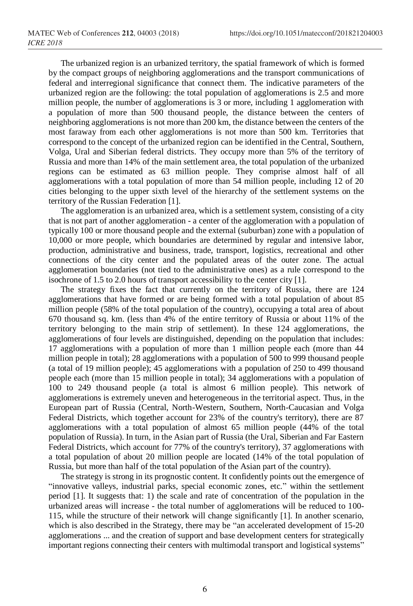The urbanized region is an urbanized territory, the spatial framework of which is formed by the compact groups of neighboring agglomerations and the transport communications of federal and interregional significance that connect them. The indicative parameters of the urbanized region are the following: the total population of agglomerations is 2.5 and more million people, the number of agglomerations is 3 or more, including 1 agglomeration with a population of more than 500 thousand people, the distance between the centers of neighboring agglomerations is not more than 200 km, the distance between the centers of the most faraway from each other agglomerations is not more than 500 km. Territories that correspond to the concept of the urbanized region can be identified in the Central, Southern, Volga, Ural and Siberian federal districts. They occupy more than 5% of the territory of Russia and more than 14% of the main settlement area, the total population of the urbanized regions can be estimated as 63 million people. They comprise almost half of all agglomerations with a total population of more than 54 million people, including 12 of 20 cities belonging to the upper sixth level of the hierarchy of the settlement systems on the territory of the Russian Federation [1].

The agglomeration is an urbanized area, which is a settlement system, consisting of a city that is not part of another agglomeration - a center of the agglomeration with a population of typically 100 or more thousand people and the external (suburban) zone with a population of 10,000 or more people, which boundaries are determined by regular and intensive labor, production, administrative and business, trade, transport, logistics, recreational and other connections of the city center and the populated areas of the outer zone. The actual agglomeration boundaries (not tied to the administrative ones) as a rule correspond to the isochrone of 1.5 to 2.0 hours of transport accessibility to the center city [1].

The strategy fixes the fact that currently on the territory of Russia, there are 124 agglomerations that have formed or are being formed with a total population of about 85 million people (58% of the total population of the country), occupying a total area of about 670 thousand sq. km. (less than 4% of the entire territory of Russia or about 11% of the territory belonging to the main strip of settlement). In these 124 agglomerations, the agglomerations of four levels are distinguished, depending on the population that includes: 17 agglomerations with a population of more than 1 million people each (more than 44 million people in total); 28 agglomerations with a population of 500 to 999 thousand people (a total of 19 million people); 45 agglomerations with a population of 250 to 499 thousand people each (more than 15 million people in total); 34 agglomerations with a population of 100 to 249 thousand people (a total is almost 6 million people). This network of agglomerations is extremely uneven and heterogeneous in the territorial aspect. Thus, in the European part of Russia (Central, North-Western, Southern, North-Caucasian and Volga Federal Districts, which together account for 23% of the country's territory), there are 87 agglomerations with a total population of almost 65 million people (44% of the total population of Russia). In turn, in the Asian part of Russia (the Ural, Siberian and Far Eastern Federal Districts, which account for 77% of the country's territory), 37 agglomerations with a total population of about 20 million people are located (14% of the total population of Russia, but more than half of the total population of the Asian part of the country).

The strategy is strong in its prognostic content. It confidently points out the emergence of "innovative valleys, industrial parks, special economic zones, etc." within the settlement period [1]. It suggests that: 1) the scale and rate of concentration of the population in the urbanized areas will increase - the total number of agglomerations will be reduced to 100- 115, while the structure of their network will change significantly [1]. In another scenario, which is also described in the Strategy, there may be "an accelerated development of 15-20 agglomerations ... and the creation of support and base development centers for strategically important regions connecting their centers with multimodal transport and logistical systems"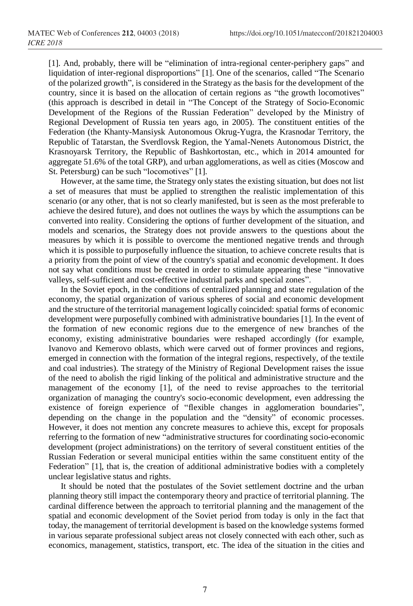[1]. And, probably, there will be "elimination of intra-regional center-periphery gaps" and liquidation of inter-regional disproportions" [1]. One of the scenarios, called "The Scenario of the polarized growth", is considered in the Strategy as the basis for the development of the country, since it is based on the allocation of certain regions as "the growth locomotives" (this approach is described in detail in "The Concept of the Strategy of Socio-Economic Development of the Regions of the Russian Federation" developed by the Ministry of Regional Development of Russia ten years ago, in 2005). The constituent entities of the Federation (the Khanty-Mansiysk Autonomous Okrug-Yugra, the Krasnodar Territory, the Republic of Tatarstan, the Sverdlovsk Region, the Yamal-Nenets Autonomous District, the Krasnoyarsk Territory, the Republic of Bashkortostan, etc., which in 2014 amounted for aggregate 51.6% of the total GRP), and urban agglomerations, as well as cities (Moscow and St. Petersburg) can be such "locomotives" [1].

However, at the same time, the Strategy only states the existing situation, but does not list a set of measures that must be applied to strengthen the realistic implementation of this scenario (or any other, that is not so clearly manifested, but is seen as the most preferable to achieve the desired future), and does not outlines the ways by which the assumptions can be converted into reality. Considering the options of further development of the situation, and models and scenarios, the Strategy does not provide answers to the questions about the measures by which it is possible to overcome the mentioned negative trends and through which it is possible to purposefully influence the situation, to achieve concrete results that is a priority from the point of view of the country's spatial and economic development. It does not say what conditions must be created in order to stimulate appearing these "innovative valleys, self-sufficient and cost-effective industrial parks and special zones".

In the Soviet epoch, in the conditions of centralized planning and state regulation of the economy, the spatial organization of various spheres of social and economic development and the structure of the territorial management logically coincided: spatial forms of economic development were purposefully combined with administrative boundaries [1]. In the event of the formation of new economic regions due to the emergence of new branches of the economy, existing administrative boundaries were reshaped accordingly (for example, Ivanovo and Kemerovo oblasts, which were carved out of former provinces and regions, emerged in connection with the formation of the integral regions, respectively, of the textile and coal industries). The strategy of the Ministry of Regional Development raises the issue of the need to abolish the rigid linking of the political and administrative structure and the management of the economy [1], of the need to revise approaches to the territorial organization of managing the country's socio-economic development, even addressing the existence of foreign experience of "flexible changes in agglomeration boundaries", depending on the change in the population and the "density" of economic processes. However, it does not mention any concrete measures to achieve this, except for proposals referring to the formation of new "administrative structures for coordinating socio-economic development (project administrations) on the territory of several constituent entities of the Russian Federation or several municipal entities within the same constituent entity of the Federation" [1], that is, the creation of additional administrative bodies with a completely unclear legislative status and rights.

It should be noted that the postulates of the Soviet settlement doctrine and the urban planning theory still impact the contemporary theory and practice of territorial planning. The cardinal difference between the approach to territorial planning and the management of the spatial and economic development of the Soviet period from today is only in the fact that today, the management of territorial development is based on the knowledge systems formed in various separate professional subject areas not closely connected with each other, such as economics, management, statistics, transport, etc. The idea of the situation in the cities and